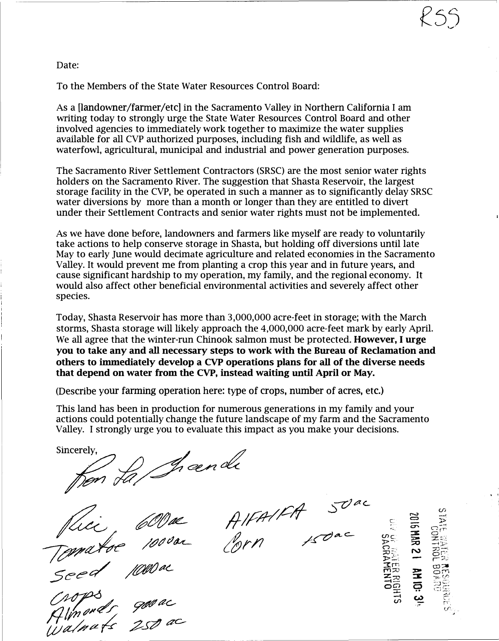Date:

To the Members of the State Water Resources Control Board:

As a [landowner/farmer/etc] in the Sacramento Valley in Northern California I am writing today to strongly urge the State Water Resources Control Board and other involved agencies to immediately work together to maximize the water supplies available for all CVP authorized purposes, including fish and wildlife, as well as waterfowl, agricultural, municipal and industrial and power generation purposes.

The Sacramento River Settlement Contractors (SRSC) are the most senior water rights holders on the Sacramento River. The suggestion that Shasta Reservoir, the largest storage facility in the CVP, be operated in such a manner as to significantly delay SRSC water diversions by more than a month or longer than they are entitled to divert under their Settlement Contracts and senior water rights must not be implemented.

As we have done before, landowners and farmers like myself are ready to voluntarily take actions to help conserve storage in Shasta, but holding off diversions until late May to early June would decimate agriculture and related economies in the Sacramento Valley. It would prevent me from planting a crop this year and in future years, and cause significant hardship to my operation, my family, and the regional economy. It would also affect other beneficial environmental activities and severely affect other species.

Today, Shasta Reservoir has more than 3,000,000 acre-feet in storage; with the March storms, Shasta storage will likely approach the 4,000,000 acre-feet mark by early April. We all agree that the winter-run Chinook salmon must be protected. However, I urge you to take any and all necessary steps to work with the Bureau of Reclamation and others to immediately develop a CVP operations plans for all of the diverse needs that depend on water from the CVP, instead waiting until April or May.

(Describe your farming operation here: type of crops, number of acres, etc.)

This land has been in production for numerous generations in my family and your actions could potentially change the future landscape of my farm and the Sacramento Valley. I strongly urge you to evaluate this impact as you make your decisions.

Sincerely.

w.<br>on fa/Irænde

Juce 600 de

 $\frac{1}{2}$ //  $\frac{1}{2}$ //  $\frac{1}{2}$  ...

 $forn$   $f$ z $\sigma$ ac  $\frac{w}{2}$ 



 $\ddot{\phantom{0}}$ 

KSS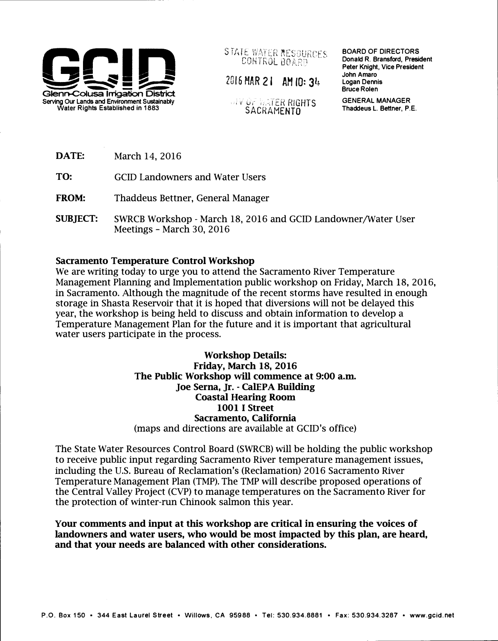

STATE WATER RESOURCES CONTROL BOARD

2016 HAR 21 AM 10: 34

**W UF WATER RIGHTS** 

BOARD OF DIRECTORS Donald R. Bransford, President Peter Knight, Vice President John Amaro Logan Dennis Bruce Rolen

GENERAL MANAGER Thaddeus L. Bettner, P.E.

DATE: March 14, 2016

TO: GCID Landowners and Water Users

FROM: Thaddeus Bettner, General Manager

SUBJECT: SWRCB Workshop - March 18, 2016 and GCID Landowner/Water User Meetings- March 30, 2016

## Sacramento Temperature Control Workshop

We are writing today to urge you to attend the Sacramento River Temperature Management Planning and Implementation public workshop on Friday, March 18, 2016, in Sacramento. Although the magnitude of the recent storms have resulted in enough storage in Shasta Reservoir that it is hoped that diversions will not be delayed this year, the workshop is being held to discuss and obtain information to develop a Temperature Management Plan for the future and it is important that agricultural water users participate in the process.

> Workshop Details: Friday, March 18, 2016 The Public Workshop will commence at 9:00 a.m. Joe Serna, Jr.- CalEPA Building Coastal Hearing Room 1001 I Street Sacramento, California (maps and directions are available at GCID's office)

The State Water Resources Control Board (SWRCB) will be holding the public workshop to receive public input regarding Sacramento River temperature management issues, including the U.S. Bureau of Reclamation's (Reclamation) 2016 Sacramento River Temperature Management Plan (TMP). The TMP will describe proposed operations of the Central Valley Project (CVP) to manage temperatures on the Sacramento River for the protection of winter-run Chinook salmon this year.

Your comments and input at this workshop are critical in ensuring the voices of landowners and water users, who would be most impacted by this plan, are heard, and that your needs are balanced with other considerations.